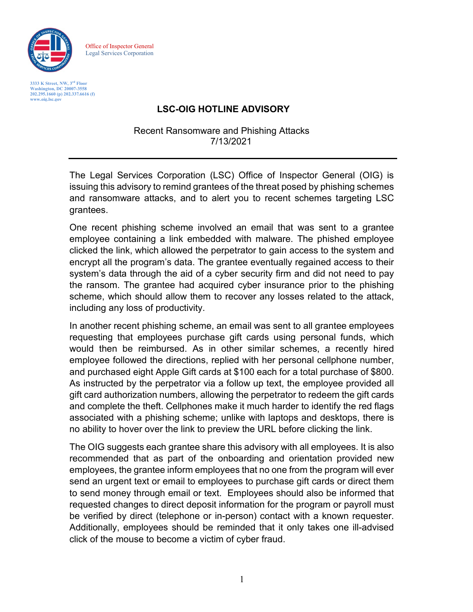

Office of Inspector General Legal Services Corporation

**3333 K Street, NW, 3rd Floor Washington, DC 20007-3558 202.295.1660 (p) 202.337.6616 (f) [www.oig.lsc.gov](http://www.oig.lsc.gov/)**

## **LSC-OIG HOTLINE ADVISORY**

Recent Ransomware and Phishing Attacks 7/13/2021

The Legal Services Corporation (LSC) Office of Inspector General (OIG) is issuing this advisory to remind grantees of the threat posed by phishing schemes and ransomware attacks, and to alert you to recent schemes targeting LSC grantees.

One recent phishing scheme involved an email that was sent to a grantee employee containing a link embedded with malware. The phished employee clicked the link, which allowed the perpetrator to gain access to the system and encrypt all the program's data. The grantee eventually regained access to their system's data through the aid of a cyber security firm and did not need to pay the ransom. The grantee had acquired cyber insurance prior to the phishing scheme, which should allow them to recover any losses related to the attack, including any loss of productivity.

In another recent phishing scheme, an email was sent to all grantee employees requesting that employees purchase gift cards using personal funds, which would then be reimbursed. As in other similar schemes, a recently hired employee followed the directions, replied with her personal cellphone number, and purchased eight Apple Gift cards at \$100 each for a total purchase of \$800. As instructed by the perpetrator via a follow up text, the employee provided all gift card authorization numbers, allowing the perpetrator to redeem the gift cards and complete the theft. Cellphones make it much harder to identify the red flags associated with a phishing scheme; unlike with laptops and desktops, there is no ability to hover over the link to preview the URL before clicking the link.

The OIG suggests each grantee share this advisory with all employees. It is also recommended that as part of the onboarding and orientation provided new employees, the grantee inform employees that no one from the program will ever send an urgent text or email to employees to purchase gift cards or direct them to send money through email or text. Employees should also be informed that requested changes to direct deposit information for the program or payroll must be verified by direct (telephone or in-person) contact with a known requester. Additionally, employees should be reminded that it only takes one ill-advised click of the mouse to become a victim of cyber fraud.